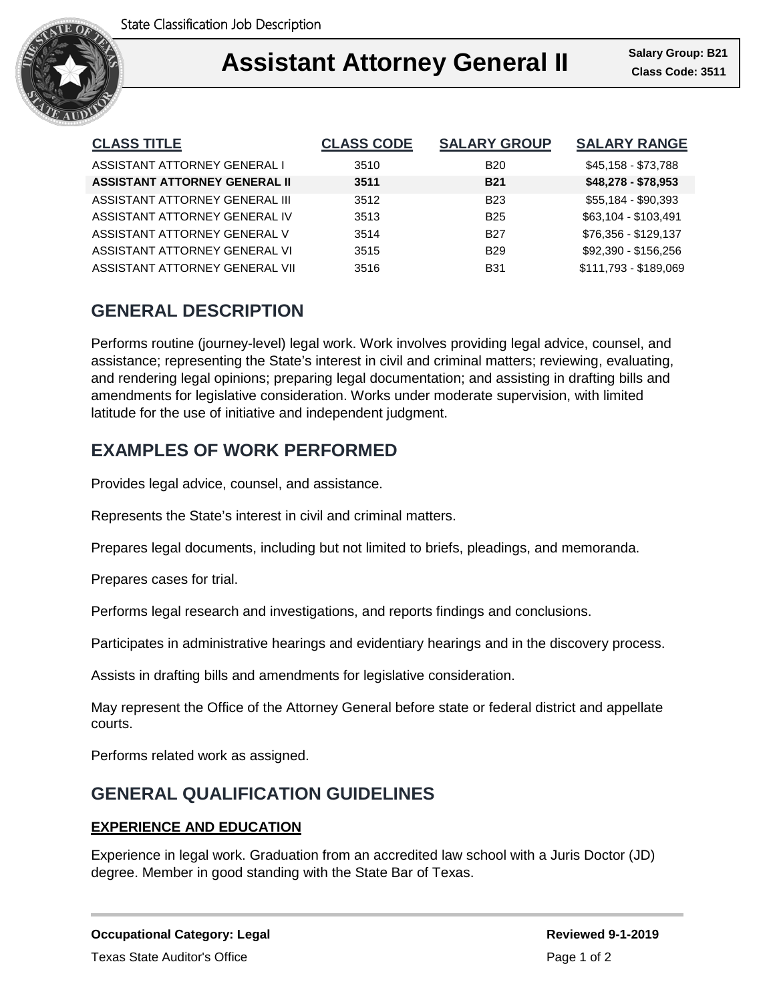

## **Assistant Attorney General II Assistant Attorney General II Class Code: 3511** I

| <b>CLASS TITLE</b>                   | <b>CLASS CODE</b> | <b>SALARY GROUP</b> | <b>SALARY RANGE</b>   |
|--------------------------------------|-------------------|---------------------|-----------------------|
| ASSISTANT ATTORNEY GENERAL I         | 3510              | <b>B20</b>          | \$45,158 - \$73,788   |
| <b>ASSISTANT ATTORNEY GENERAL II</b> | 3511              | <b>B21</b>          | $$48,278 - $78,953$   |
| ASSISTANT ATTORNEY GENERAL III       | 3512              | <b>B23</b>          | \$55,184 - \$90,393   |
| ASSISTANT ATTORNEY GENERAL IV        | 3513              | <b>B25</b>          | \$63,104 - \$103,491  |
| ASSISTANT ATTORNEY GENERAL V         | 3514              | <b>B27</b>          | \$76,356 - \$129,137  |
| ASSISTANT ATTORNEY GENERAL VI        | 3515              | B <sub>29</sub>     | \$92.390 - \$156.256  |
| ASSISTANT ATTORNEY GENERAL VII       | 3516              | <b>B31</b>          | \$111,793 - \$189,069 |

# **GENERAL DESCRIPTION**

Performs routine (journey-level) legal work. Work involves providing legal advice, counsel, and assistance; representing the State's interest in civil and criminal matters; reviewing, evaluating, and rendering legal opinions; preparing legal documentation; and assisting in drafting bills and amendments for legislative consideration. Works under moderate supervision, with limited latitude for the use of initiative and independent judgment.

# **EXAMPLES OF WORK PERFORMED**

Provides legal advice, counsel, and assistance.

Represents the State's interest in civil and criminal matters.

Prepares legal documents, including but not limited to briefs, pleadings, and memoranda.

Prepares cases for trial.

Performs legal research and investigations, and reports findings and conclusions.

Participates in administrative hearings and evidentiary hearings and in the discovery process.

Assists in drafting bills and amendments for legislative consideration.

May represent the Office of the Attorney General before state or federal district and appellate courts.

Performs related work as assigned.

## **GENERAL QUALIFICATION GUIDELINES**

### **EXPERIENCE AND EDUCATION**

Experience in legal work. Graduation from an accredited law school with a Juris Doctor (JD) degree. Member in good standing with the State Bar of Texas.